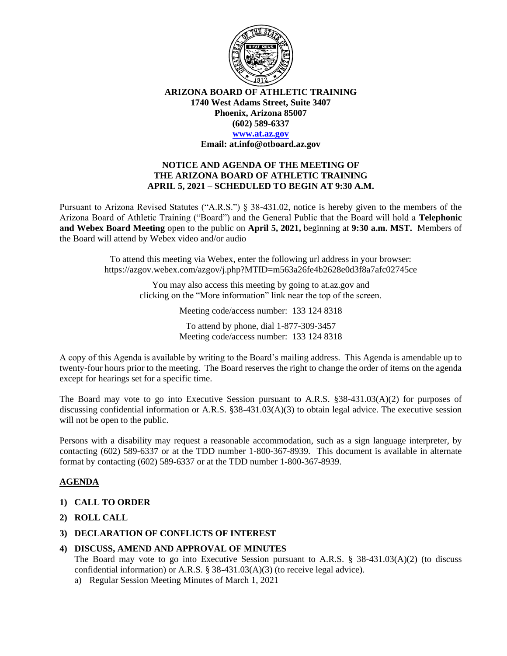

**ARIZONA BOARD OF ATHLETIC TRAINING 1740 West Adams Street, Suite 3407 Phoenix, Arizona 85007 (602) 589-6337**

#### **[www.at.az.gov](https://www.at.az.gov/)**

**Email: at.info@otboard.az.gov**

## **NOTICE AND AGENDA OF THE MEETING OF THE ARIZONA BOARD OF ATHLETIC TRAINING APRIL 5, 2021 – SCHEDULED TO BEGIN AT 9:30 A.M.**

Pursuant to Arizona Revised Statutes ("A.R.S.") § 38-431.02, notice is hereby given to the members of the Arizona Board of Athletic Training ("Board") and the General Public that the Board will hold a **Telephonic and Webex Board Meeting** open to the public on **April 5, 2021,** beginning at **9:30 a.m. MST.** Members of the Board will attend by Webex video and/or audio

> To attend this meeting via Webex, enter the following url address in your browser: https://azgov.webex.com/azgov/j.php?MTID=m563a26fe4b2628e0d3f8a7afc02745ce

> > You may also access this meeting by going to at.az.gov and clicking on the "More information" link near the top of the screen.

> > > Meeting code/access number: 133 124 8318

To attend by phone, dial 1-877-309-3457 Meeting code/access number: 133 124 8318

A copy of this Agenda is available by writing to the Board's mailing address. This Agenda is amendable up to twenty-four hours prior to the meeting. The Board reserves the right to change the order of items on the agenda except for hearings set for a specific time.

The Board may vote to go into Executive Session pursuant to A.R.S. §38-431.03(A)(2) for purposes of discussing confidential information or A.R.S. §38-431.03(A)(3) to obtain legal advice. The executive session will not be open to the public.

Persons with a disability may request a reasonable accommodation, such as a sign language interpreter, by contacting (602) 589-6337 or at the TDD number 1-800-367-8939. This document is available in alternate format by contacting (602) 589-6337 or at the TDD number 1-800-367-8939.

# **AGENDA**

- **1) CALL TO ORDER**
- **2) ROLL CALL**
- **3) DECLARATION OF CONFLICTS OF INTEREST**

### **4) DISCUSS, AMEND AND APPROVAL OF MINUTES**

The Board may vote to go into Executive Session pursuant to A.R.S. § 38-431.03(A)(2) (to discuss confidential information) or A.R.S. § 38-431.03(A)(3) (to receive legal advice).

a) Regular Session Meeting Minutes of March 1, 2021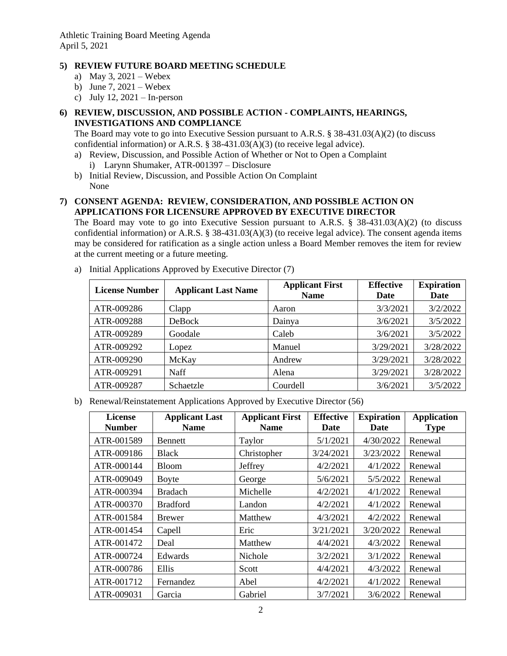Athletic Training Board Meeting Agenda April 5, 2021

# **5) REVIEW FUTURE BOARD MEETING SCHEDULE**

- a) May 3, 2021 Webex
- b) June 7,  $2021 -$  Webex
- c) July 12,  $2021 -$  In-person

# **6) REVIEW, DISCUSSION, AND POSSIBLE ACTION - COMPLAINTS, HEARINGS, INVESTIGATIONS AND COMPLIANCE**

The Board may vote to go into Executive Session pursuant to A.R.S. § 38-431.03(A)(2) (to discuss confidential information) or A.R.S. § 38-431.03(A)(3) (to receive legal advice).

- a) Review, Discussion, and Possible Action of Whether or Not to Open a Complaint i) Larynn Shumaker, ATR-001397 – Disclosure
- b) Initial Review, Discussion, and Possible Action On Complaint None

## **7) CONSENT AGENDA: REVIEW, CONSIDERATION, AND POSSIBLE ACTION ON APPLICATIONS FOR LICENSURE APPROVED BY EXECUTIVE DIRECTOR**

The Board may vote to go into Executive Session pursuant to A.R.S. § 38-431.03(A)(2) (to discuss confidential information) or A.R.S. § 38-431.03(A)(3) (to receive legal advice). The consent agenda items may be considered for ratification as a single action unless a Board Member removes the item for review at the current meeting or a future meeting.

| <b>License Number</b> | <b>Applicant Last Name</b> | <b>Applicant First</b><br><b>Name</b> | <b>Effective</b><br>Date | <b>Expiration</b><br><b>Date</b> |
|-----------------------|----------------------------|---------------------------------------|--------------------------|----------------------------------|
| ATR-009286            | Clapp                      | Aaron                                 | 3/3/2021                 | 3/2/2022                         |
| ATR-009288            | <b>DeBock</b>              | Dainya                                | 3/6/2021                 | 3/5/2022                         |
| ATR-009289            | Goodale                    | Caleb                                 | 3/6/2021                 | 3/5/2022                         |
| ATR-009292            | Lopez                      | Manuel                                | 3/29/2021                | 3/28/2022                        |
| ATR-009290            | McKay                      | Andrew                                | 3/29/2021                | 3/28/2022                        |
| ATR-009291            | <b>Naff</b>                | Alena                                 | 3/29/2021                | 3/28/2022                        |
| ATR-009287            | Schaetzle                  | Courdell                              | 3/6/2021                 | 3/5/2022                         |

a) Initial Applications Approved by Executive Director (7)

b) Renewal/Reinstatement Applications Approved by Executive Director (56)

| License<br><b>Number</b> | <b>Applicant Last</b><br><b>Name</b> | <b>Applicant First</b><br><b>Name</b> | <b>Effective</b><br>Date | <b>Expiration</b><br>Date | <b>Application</b><br><b>Type</b> |
|--------------------------|--------------------------------------|---------------------------------------|--------------------------|---------------------------|-----------------------------------|
| ATR-001589               | <b>Bennett</b>                       | Taylor                                | 5/1/2021                 | 4/30/2022                 | Renewal                           |
| ATR-009186               | <b>Black</b>                         | Christopher                           | 3/24/2021                | 3/23/2022                 | Renewal                           |
| ATR-000144               | <b>Bloom</b>                         | Jeffrey                               | 4/2/2021                 | 4/1/2022                  | Renewal                           |
| ATR-009049               | <b>Boyte</b>                         | George                                | 5/6/2021                 | 5/5/2022                  | Renewal                           |
| ATR-000394               | <b>Bradach</b>                       | Michelle                              | 4/2/2021                 | 4/1/2022                  | Renewal                           |
| ATR-000370               | <b>Bradford</b>                      | Landon                                | 4/2/2021                 | 4/1/2022                  | Renewal                           |
| ATR-001584               | <b>Brewer</b>                        | Matthew                               | 4/3/2021                 | 4/2/2022                  | Renewal                           |
| ATR-001454               | Capell                               | Eric                                  | 3/21/2021                | 3/20/2022                 | Renewal                           |
| ATR-001472               | Deal                                 | Matthew                               | 4/4/2021                 | 4/3/2022                  | Renewal                           |
| ATR-000724               | Edwards                              | Nichole                               | 3/2/2021                 | 3/1/2022                  | Renewal                           |
| ATR-000786               | <b>Ellis</b>                         | Scott                                 | 4/4/2021                 | 4/3/2022                  | Renewal                           |
| ATR-001712               | Fernandez                            | Abel                                  | 4/2/2021                 | 4/1/2022                  | Renewal                           |
| ATR-009031               | Garcia                               | Gabriel                               | 3/7/2021                 | 3/6/2022                  | Renewal                           |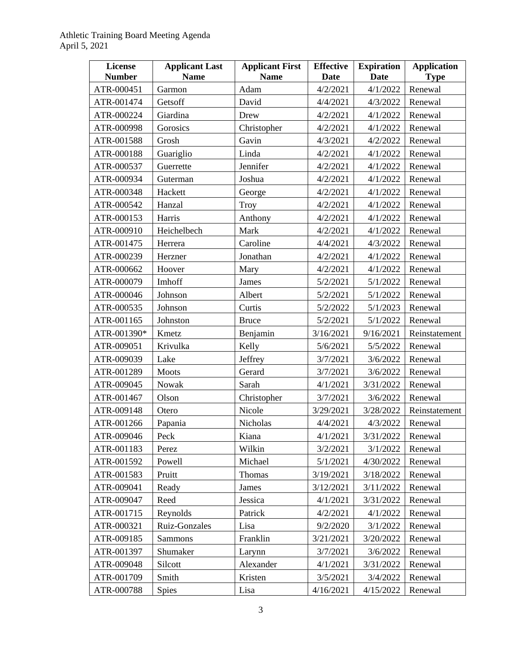| <b>License</b><br><b>Number</b> | <b>Applicant Last</b><br><b>Name</b> | <b>Applicant First</b><br><b>Name</b> | <b>Effective</b><br><b>Date</b> | <b>Expiration</b><br><b>Date</b> | <b>Application</b><br><b>Type</b> |
|---------------------------------|--------------------------------------|---------------------------------------|---------------------------------|----------------------------------|-----------------------------------|
| ATR-000451                      | Garmon                               | Adam                                  | 4/2/2021                        | 4/1/2022                         | Renewal                           |
| ATR-001474                      | Getsoff                              | David                                 | 4/4/2021                        | 4/3/2022                         | Renewal                           |
| ATR-000224                      | Giardina                             | Drew                                  | 4/2/2021                        | 4/1/2022                         | Renewal                           |
| ATR-000998                      | Gorosics                             | Christopher                           | 4/2/2021                        | 4/1/2022                         | Renewal                           |
| ATR-001588                      | Grosh                                | Gavin                                 | 4/3/2021                        | 4/2/2022                         | Renewal                           |
| ATR-000188                      | Guariglio                            | Linda                                 | 4/2/2021                        | 4/1/2022                         | Renewal                           |
| ATR-000537                      | Guerrette                            | Jennifer                              | 4/2/2021                        | 4/1/2022                         | Renewal                           |
| ATR-000934                      | Guterman                             | Joshua                                | 4/2/2021                        | 4/1/2022                         | Renewal                           |
| ATR-000348                      | Hackett                              | George                                | 4/2/2021                        | 4/1/2022                         | Renewal                           |
| ATR-000542                      | Hanzal                               | <b>Troy</b>                           | 4/2/2021                        | 4/1/2022                         | Renewal                           |
| ATR-000153                      | Harris                               | Anthony                               | 4/2/2021                        | 4/1/2022                         | Renewal                           |
| ATR-000910                      | Heichelbech                          | Mark                                  | 4/2/2021                        | 4/1/2022                         | Renewal                           |
| ATR-001475                      | Herrera                              | Caroline                              | 4/4/2021                        | 4/3/2022                         | Renewal                           |
| ATR-000239                      | Herzner                              | Jonathan                              | 4/2/2021                        | 4/1/2022                         | Renewal                           |
| ATR-000662                      | Hoover                               | Mary                                  | 4/2/2021                        | 4/1/2022                         | Renewal                           |
| ATR-000079                      | Imhoff                               | James                                 | 5/2/2021                        | 5/1/2022                         | Renewal                           |
| ATR-000046                      | Johnson                              | Albert                                | 5/2/2021                        | 5/1/2022                         | Renewal                           |
| ATR-000535                      | Johnson                              | Curtis                                | 5/2/2022                        | 5/1/2023                         | Renewal                           |
| ATR-001165                      | Johnston                             |                                       |                                 |                                  | Renewal                           |
| ATR-001390*                     | Kmetz                                | <b>Bruce</b>                          | 5/2/2021<br>3/16/2021           | 5/1/2022<br>9/16/2021            |                                   |
| ATR-009051                      | Krivulka                             | Benjamin                              | 5/6/2021                        | 5/5/2022                         | Reinstatement                     |
|                                 | Lake                                 | Kelly                                 |                                 |                                  | Renewal                           |
| ATR-009039<br>ATR-001289        | <b>Moots</b>                         | Jeffrey<br>Gerard                     | 3/7/2021<br>3/7/2021            | 3/6/2022<br>3/6/2022             | Renewal<br>Renewal                |
| ATR-009045                      | Nowak                                | Sarah                                 | 4/1/2021                        |                                  | Renewal                           |
|                                 | Olson                                |                                       |                                 | 3/31/2022                        | Renewal                           |
| ATR-001467                      |                                      | Christopher                           | 3/7/2021                        | 3/6/2022                         |                                   |
| ATR-009148                      | Otero                                | Nicole                                | 3/29/2021                       | 3/28/2022                        | Reinstatement                     |
| ATR-001266                      | Papania                              | Nicholas                              | 4/4/2021                        | 4/3/2022                         | Renewal                           |
| ATR-009046                      | Peck                                 | Kiana                                 | 4/1/2021                        | 3/31/2022                        | Renewal                           |
| ATR-001183                      | Perez                                | Wilkin                                | 3/2/2021                        | 3/1/2022                         | Renewal                           |
| ATR-001592                      | Powell                               | Michael                               | 5/1/2021                        | 4/30/2022                        | Renewal                           |
| ATR-001583                      | Pruitt                               | Thomas                                | 3/19/2021                       | 3/18/2022                        | Renewal                           |
| ATR-009041                      | Ready                                | James                                 | 3/12/2021                       | 3/11/2022                        | Renewal                           |
| ATR-009047                      | Reed                                 | Jessica                               | 4/1/2021                        | 3/31/2022                        | Renewal                           |
| ATR-001715                      | Reynolds                             | Patrick                               | 4/2/2021                        | 4/1/2022                         | Renewal                           |
| ATR-000321                      | Ruiz-Gonzales                        | Lisa                                  | 9/2/2020                        | 3/1/2022                         | Renewal                           |
| ATR-009185                      | <b>Sammons</b>                       | Franklin                              | 3/21/2021                       | 3/20/2022                        | Renewal                           |
| ATR-001397                      | Shumaker                             | Larynn                                | 3/7/2021                        | 3/6/2022                         | Renewal                           |
| ATR-009048                      | Silcott                              | Alexander                             | 4/1/2021                        | 3/31/2022                        | Renewal                           |
| ATR-001709                      | Smith                                | Kristen                               | 3/5/2021                        | 3/4/2022                         | Renewal                           |
| ATR-000788                      | <b>Spies</b>                         | Lisa                                  | 4/16/2021                       | 4/15/2022                        | Renewal                           |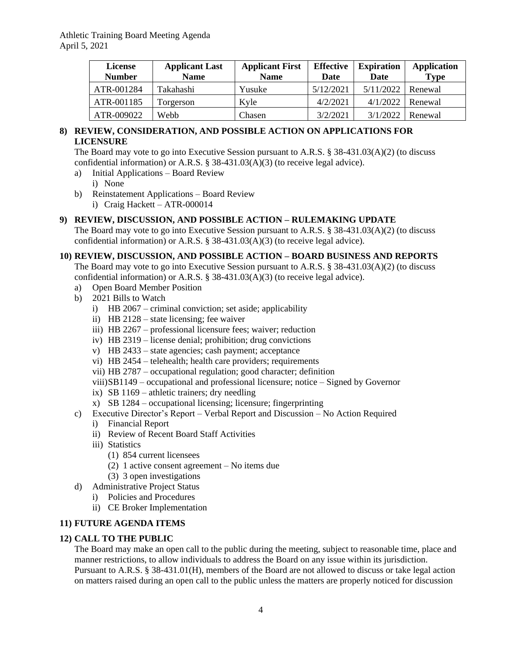| <b>License</b><br><b>Number</b> | <b>Applicant Last</b><br><b>Name</b> | <b>Applicant First</b><br><b>Name</b> | <b>Effective</b><br><b>Date</b> | <b>Expiration</b><br><b>Date</b> | <b>Application</b><br><b>Type</b> |
|---------------------------------|--------------------------------------|---------------------------------------|---------------------------------|----------------------------------|-----------------------------------|
| ATR-001284                      | Takahashi                            | Yusuke                                | 5/12/2021                       | 5/11/2022                        | Renewal                           |
| ATR-001185                      | Torgerson                            | Kyle                                  | 4/2/2021                        | 4/1/2022                         | Renewal                           |
| ATR-009022                      | Webb                                 | Chasen                                | 3/2/2021                        | 3/1/2022                         | Renewal                           |

# **8) REVIEW, CONSIDERATION, AND POSSIBLE ACTION ON APPLICATIONS FOR LICENSURE**

The Board may vote to go into Executive Session pursuant to A.R.S. § 38-431.03(A)(2) (to discuss confidential information) or A.R.S. § 38-431.03(A)(3) (to receive legal advice).

- a) Initial Applications Board Review
	- i) None
- b) Reinstatement Applications Board Review
	- i) Craig Hackett ATR-000014

#### **9) REVIEW, DISCUSSION, AND POSSIBLE ACTION – RULEMAKING UPDATE**

The Board may vote to go into Executive Session pursuant to A.R.S. § 38-431.03(A)(2) (to discuss confidential information) or A.R.S. § 38-431.03(A)(3) (to receive legal advice).

#### **10) REVIEW, DISCUSSION, AND POSSIBLE ACTION – BOARD BUSINESS AND REPORTS**

The Board may vote to go into Executive Session pursuant to A.R.S. § 38-431.03(A)(2) (to discuss confidential information) or A.R.S. § 38-431.03(A)(3) (to receive legal advice).

- a) Open Board Member Position
- b) 2021 Bills to Watch
	- i) HB 2067 criminal conviction; set aside; applicability
	- ii) HB 2128 state licensing; fee waiver
	- iii) HB 2267 professional licensure fees; waiver; reduction
	- iv) HB 2319 license denial; prohibition; drug convictions
	- v) HB 2433 state agencies; cash payment; acceptance
	- vi) HB 2454 telehealth; health care providers; requirements
	- vii) HB 2787 occupational regulation; good character; definition
	- viii)SB1149 occupational and professional licensure; notice Signed by Governor
	- ix) SB 1169 athletic trainers; dry needling
	- x) SB 1284 occupational licensing; licensure; fingerprinting
- c) Executive Director's Report Verbal Report and Discussion No Action Required
	- i) Financial Report
	- ii) Review of Recent Board Staff Activities
	- iii) Statistics
		- (1) 854 current licensees
		- (2) 1 active consent agreement No items due
		- (3) 3 open investigations
- d) Administrative Project Status
	- i) Policies and Procedures
	- ii) CE Broker Implementation

### **11) FUTURE AGENDA ITEMS**

### **12) CALL TO THE PUBLIC**

The Board may make an open call to the public during the meeting, subject to reasonable time, place and manner restrictions, to allow individuals to address the Board on any issue within its jurisdiction. Pursuant to A.R.S. § 38-431.01(H), members of the Board are not allowed to discuss or take legal action on matters raised during an open call to the public unless the matters are properly noticed for discussion